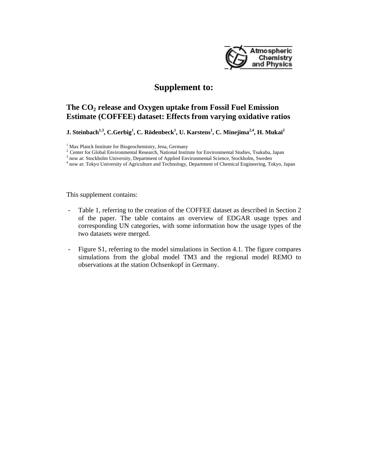

## **Supplement to:**

## **The CO2 release and Oxygen uptake from Fossil Fuel Emission Estimate (COFFEE) dataset: Effects from varying oxidative ratios**

**J.** Steinbach<sup>1,3</sup>, C.Gerbig<sup>1</sup>, C. Rödenbeck<sup>1</sup>, U. Karstens<sup>1</sup>, C. Minejima<sup>2,4</sup>, H. Mukai<sup>2</sup>

This supplement contains:

- Table 1, referring to the creation of the COFFEE dataset as described in Section 2 of the paper. The table contains an overview of EDGAR usage types and corresponding UN categories, with some information how the usage types of the two datasets were merged.
- Figure S1, referring to the model simulations in Section 4.1. The figure compares simulations from the global model TM3 and the regional model REMO to observations at the station Ochsenkopf in Germany.

<sup>&</sup>lt;sup>1</sup> Max Planck Institute for Biogeochemistry, Jena, Germany

Planck Institute Institute for Biography 2 Center for Global Environmental Studies, Tsukuba, Japan

 $3$  now at: Stockholm University, Department of Applied Environmental Science, Stockholm, Sweden

now at: Tokyo University of Agriculture and Technology, Department of Chemical Engineering, Tokyo, Japan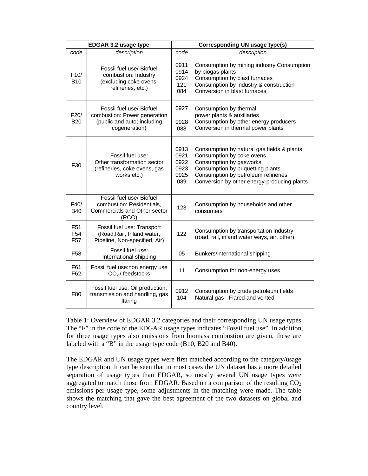| EDGAR 3.2 usage type                                  |                                                                                                          | <b>Corresponding UN usage type(s)</b>       |                                                                                                                                                                                                                               |
|-------------------------------------------------------|----------------------------------------------------------------------------------------------------------|---------------------------------------------|-------------------------------------------------------------------------------------------------------------------------------------------------------------------------------------------------------------------------------|
| code                                                  | description                                                                                              | code                                        | description                                                                                                                                                                                                                   |
| F10/<br><b>B10</b>                                    | Fossil fuel use/ Biofuel<br>combustion: Industry<br>(excluding coke ovens,<br>refineries, etc.)          | 0911<br>0914<br>0924<br>121<br>084          | Consumption by mining industry Consumption<br>by biogas plants<br>Consumption by blast furnaces<br>Consumption by industry & construction<br>Conversion in blast furnaces                                                     |
| F20/<br><b>B20</b>                                    | Fossil fuel use/ Biofuel<br>combustion: Power generation<br>(public and auto; including<br>cogeneration) | 0927<br>0928<br>088                         | Consumption by thermal<br>power plants & auxiliaries<br>Consumption by other energy producers<br>Conversion in thermal power plants                                                                                           |
| F30                                                   | Fossil fuel use:<br>Other transformation sector<br>(refineries, coke ovens, gas<br>works etc.)           | 0913<br>0921<br>0922<br>0923<br>0925<br>089 | Consumption by natural gas fields & plants<br>Consumption by coke ovens<br>Consumption by gasworks<br>Consumption by briquetting plants<br>Consumption by petroleum refineries<br>Conversion by other energy-producing plants |
| F40/<br><b>B40</b>                                    | Fossil fuel use/ Biofuel<br>combustion: Residentials,<br>Commercials and Other sector<br>(RCO)           | 123                                         | Consumption by households and other<br>consumers                                                                                                                                                                              |
| F <sub>51</sub><br>F <sub>54</sub><br>F <sub>57</sub> | Fossil fuel use: Transport<br>(Road, Rail, Inland water,<br>Pipeline, Non-specified, Air)                | 122                                         | Consumption by transportation industry<br>(road, rail, inland water ways, air, other)                                                                                                                                         |
| F58                                                   | Fossil fuel use:<br>International shipping                                                               | 05                                          | Bunkers/international shipping                                                                                                                                                                                                |
| F61<br>F62                                            | Fossil fuel use:non energy use<br>$CO2$ / feedstocks                                                     | 11                                          | Consumption for non-energy uses                                                                                                                                                                                               |
| F80                                                   | Fossil fuel use: Oil production,<br>transmission and handling, gas<br>flaring                            | 0912<br>104                                 | Consumption by crude petroleum fields<br>Natural gas - Flared and vented                                                                                                                                                      |

Table 1: Overview of EDGAR 3.2 categories and their corresponding UN usage types. The "F" in the code of the EDGAR usage types indicates "Fossil fuel use". In addition, for three usage types also emissions from biomass combustion are given, these are labeled with a "B" in the usage type code (B10, B20 and B40).

The EDGAR and UN usage types were first matched according to the category/usage type description. It can be seen that in most cases the UN dataset has a more detailed separation of usage types than EDGAR, so mostly several UN usage types were aggregated to match those from EDGAR. Based on a comparison of the resulting  $CO<sub>2</sub>$ emissions per usage type, some adjustments in the matching were made. The table shows the matching that gave the best agreement of the two datasets on global and country level.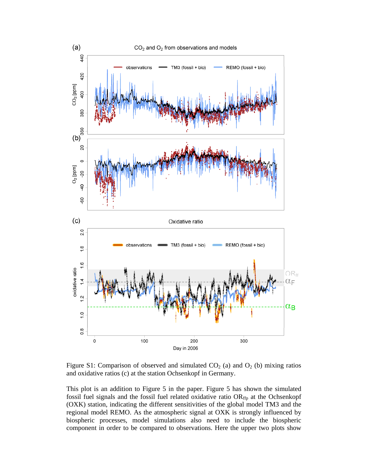

Figure S1: Comparison of observed and simulated  $CO<sub>2</sub>$  (a) and  $O<sub>2</sub>$  (b) mixing ratios and oxidative ratios (c) at the station Ochsenkopf in Germany.

This plot is an addition to Figure 5 in the paper. Figure 5 has shown the simulated fossil fuel signals and the fossil fuel related oxidative ratio  $OR<sub>ffp</sub>$  at the Ochsenkopf (OXK) station, indicating the different sensitivities of the global model TM3 and the regional model REMO. As the atmospheric signal at OXK is strongly influenced by biospheric processes, model simulations also need to include the biospheric component in order to be compared to observations. Here the upper two plots show